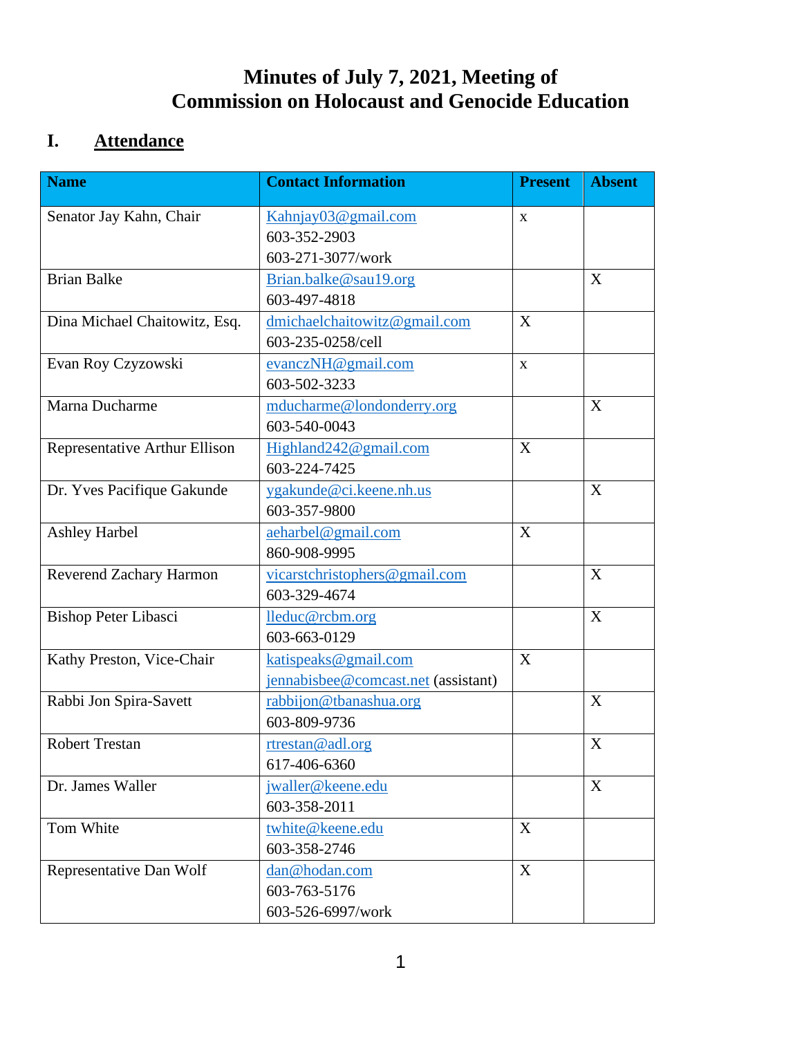## **Minutes of July 7, 2021, Meeting of Commission on Holocaust and Genocide Education**

# **I. Attendance**

| <b>Name</b>                   | <b>Contact Information</b>          | <b>Present</b> | <b>Absent</b> |
|-------------------------------|-------------------------------------|----------------|---------------|
| Senator Jay Kahn, Chair       | Kahnjay03@gmail.com                 | X              |               |
|                               | 603-352-2903                        |                |               |
|                               | 603-271-3077/work                   |                |               |
| <b>Brian Balke</b>            | Brian.balke@sau19.org               |                | X             |
|                               | 603-497-4818                        |                |               |
| Dina Michael Chaitowitz, Esq. | dmichaelchaitowitz@gmail.com        | X              |               |
|                               | 603-235-0258/cell                   |                |               |
| Evan Roy Czyzowski            | evanczNH@gmail.com                  | $\mathbf{X}$   |               |
|                               | 603-502-3233                        |                |               |
| Marna Ducharme                | mducharme@londonderry.org           |                | X             |
|                               | 603-540-0043                        |                |               |
| Representative Arthur Ellison | Highland242@gmail.com               | X              |               |
|                               | 603-224-7425                        |                |               |
| Dr. Yves Pacifique Gakunde    | ygakunde@ci.keene.nh.us             |                | X             |
|                               | 603-357-9800                        |                |               |
| <b>Ashley Harbel</b>          | aeharbel@gmail.com                  | X              |               |
|                               | 860-908-9995                        |                |               |
| Reverend Zachary Harmon       | vicarstchristophers@gmail.com       |                | X             |
|                               | 603-329-4674                        |                |               |
| Bishop Peter Libasci          | lleduc@rcbm.org                     |                | X             |
|                               | 603-663-0129                        |                |               |
| Kathy Preston, Vice-Chair     | katispeaks@gmail.com                | X              |               |
|                               | jennabisbee@comcast.net (assistant) |                |               |
| Rabbi Jon Spira-Savett        | rabbijon@tbanashua.org              |                | X             |
|                               | 603-809-9736                        |                |               |
| <b>Robert Trestan</b>         | rtrestan@adl.org                    |                | X             |
|                               | 617-406-6360                        |                |               |
| Dr. James Waller              | jwaller@keene.edu                   |                | X             |
|                               | 603-358-2011                        |                |               |
| Tom White                     | twhite@keene.edu                    | X              |               |
|                               | 603-358-2746                        |                |               |
| Representative Dan Wolf       | dan@hodan.com                       | X              |               |
|                               | 603-763-5176                        |                |               |
|                               | 603-526-6997/work                   |                |               |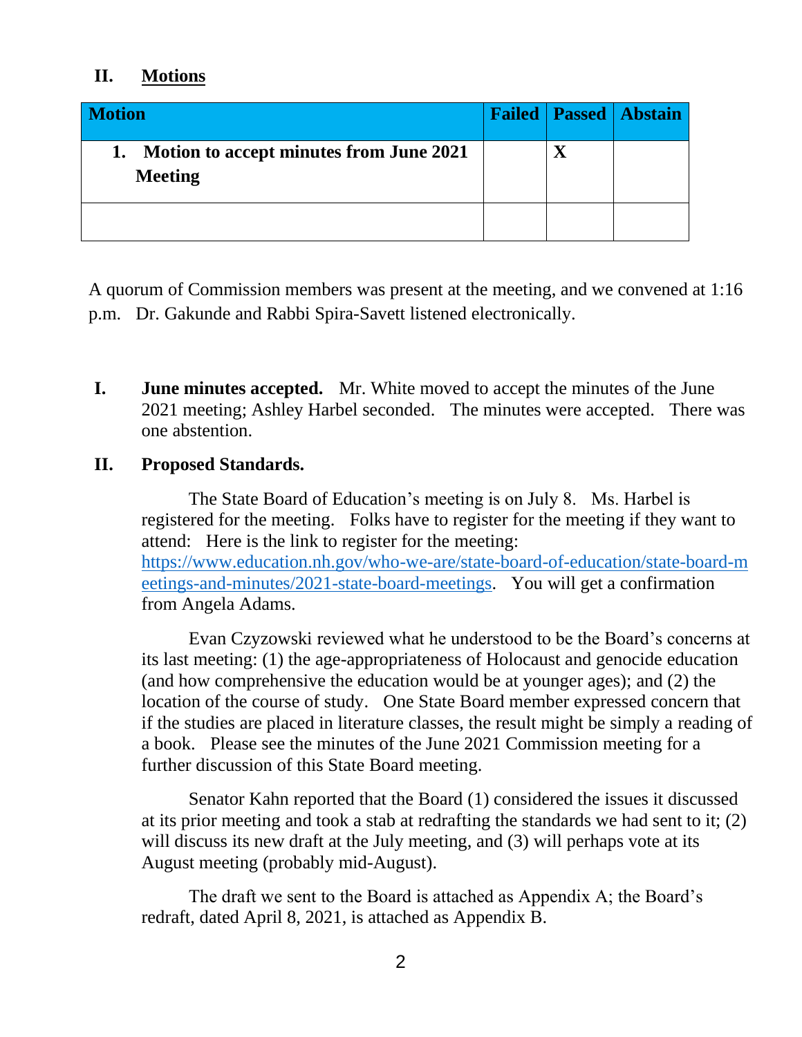### **II. Motions**

| <b>Motion</b>                                                   |  | <b>Failed   Passed   Abstain</b> |
|-----------------------------------------------------------------|--|----------------------------------|
| Motion to accept minutes from June 2021<br>1.<br><b>Meeting</b> |  |                                  |
|                                                                 |  |                                  |

A quorum of Commission members was present at the meeting, and we convened at 1:16 p.m. Dr. Gakunde and Rabbi Spira-Savett listened electronically.

**I. June minutes accepted.** Mr. White moved to accept the minutes of the June 2021 meeting; Ashley Harbel seconded. The minutes were accepted. There was one abstention.

### **II. Proposed Standards.**

The State Board of Education's meeting is on July 8. Ms. Harbel is registered for the meeting. Folks have to register for the meeting if they want to attend: Here is the link to register for the meeting: [https://www.education.nh.gov/who-we-are/state-board-of-education/state-board-m](https://www.education.nh.gov/who-we-are/state-board-of-education/state-board-meetings-and-minutes/2021-state-board-meetings) [eetings-and-minutes/2021-state-board-meetings.](https://www.education.nh.gov/who-we-are/state-board-of-education/state-board-meetings-and-minutes/2021-state-board-meetings) You will get a confirmation from Angela Adams.

Evan Czyzowski reviewed what he understood to be the Board's concerns at its last meeting: (1) the age-appropriateness of Holocaust and genocide education (and how comprehensive the education would be at younger ages); and (2) the location of the course of study. One State Board member expressed concern that if the studies are placed in literature classes, the result might be simply a reading of a book. Please see the minutes of the June 2021 Commission meeting for a further discussion of this State Board meeting.

Senator Kahn reported that the Board (1) considered the issues it discussed at its prior meeting and took a stab at redrafting the standards we had sent to it; (2) will discuss its new draft at the July meeting, and (3) will perhaps vote at its August meeting (probably mid-August).

The draft we sent to the Board is attached as Appendix A; the Board's redraft, dated April 8, 2021, is attached as Appendix B.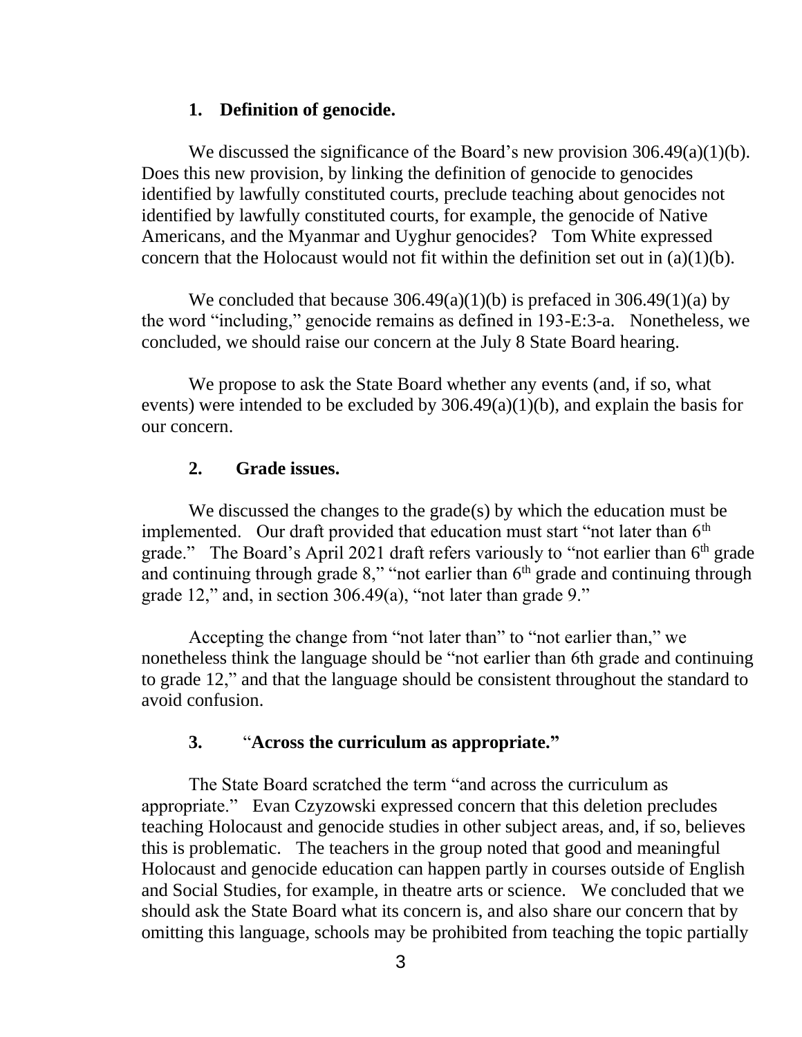#### **1. Definition of genocide.**

We discussed the significance of the Board's new provision  $306.49(a)(1)(b)$ . Does this new provision, by linking the definition of genocide to genocides identified by lawfully constituted courts, preclude teaching about genocides not identified by lawfully constituted courts, for example, the genocide of Native Americans, and the Myanmar and Uyghur genocides? Tom White expressed concern that the Holocaust would not fit within the definition set out in  $(a)(1)(b)$ .

We concluded that because  $306.49(a)(1)(b)$  is prefaced in  $306.49(1)(a)$  by the word "including," genocide remains as defined in 193-E:3-a. Nonetheless, we concluded, we should raise our concern at the July 8 State Board hearing.

We propose to ask the State Board whether any events (and, if so, what events) were intended to be excluded by 306.49(a)(1)(b), and explain the basis for our concern.

#### **2. Grade issues.**

We discussed the changes to the grade(s) by which the education must be implemented. Our draft provided that education must start "not later than  $6<sup>th</sup>$ grade." The Board's April 2021 draft refers variously to "not earlier than  $6<sup>th</sup>$  grade and continuing through grade  $8$ ," "not earlier than  $6<sup>th</sup>$  grade and continuing through grade 12," and, in section 306.49(a), "not later than grade 9."

Accepting the change from "not later than" to "not earlier than," we nonetheless think the language should be "not earlier than 6th grade and continuing to grade 12," and that the language should be consistent throughout the standard to avoid confusion.

#### **3.** "**Across the curriculum as appropriate."**

The State Board scratched the term "and across the curriculum as appropriate." Evan Czyzowski expressed concern that this deletion precludes teaching Holocaust and genocide studies in other subject areas, and, if so, believes this is problematic. The teachers in the group noted that good and meaningful Holocaust and genocide education can happen partly in courses outside of English and Social Studies, for example, in theatre arts or science. We concluded that we should ask the State Board what its concern is, and also share our concern that by omitting this language, schools may be prohibited from teaching the topic partially